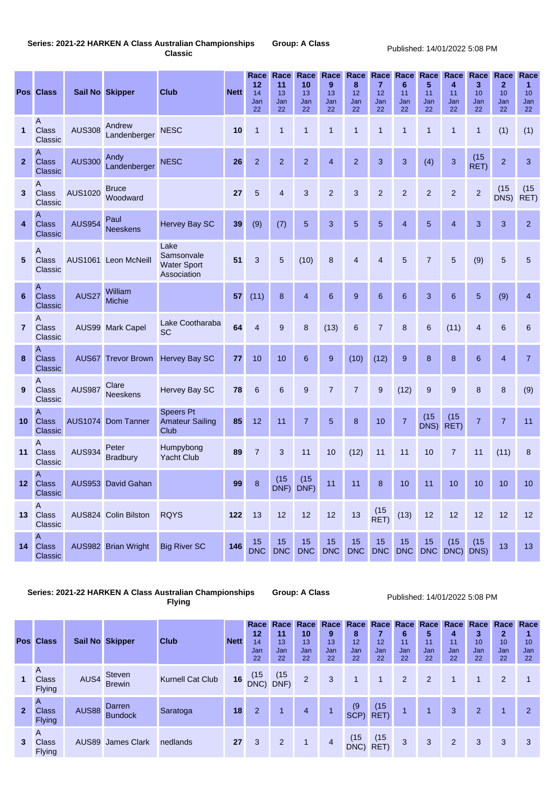## **Series: 2021-22 HARKEN A Class Australian Championships Group: A Class**

**Classic** Published: 14/01/2022 5:08 PM

|              | <b>Pos Class</b>                                 |                | <b>Sail No Skipper</b>   | <b>Club</b>                                               | <b>Nett</b> | Race<br>12<br>14<br>Jan<br>22 | <b>Race</b><br>11<br>13<br>Jan<br>22 | Race<br>10<br>13<br>Jan<br>22 | Race<br>9<br>13<br>Jan<br>22 | Race<br>8<br>12<br>Jan<br>22 | Race<br>$\overline{7}$<br>12<br>Jan<br>22 | Race<br>6<br>11<br>Jan<br>22 | Race<br>5<br>11<br>Jan<br>22 | Race<br>4<br>11<br>Jan<br>22 | Race<br>$3\phantom{a}$<br>10<br>Jan<br>22 | Race<br>$\overline{2}$<br>10<br>Jan<br>22 | Race<br>1<br>10<br>Jan<br>22 |
|--------------|--------------------------------------------------|----------------|--------------------------|-----------------------------------------------------------|-------------|-------------------------------|--------------------------------------|-------------------------------|------------------------------|------------------------------|-------------------------------------------|------------------------------|------------------------------|------------------------------|-------------------------------------------|-------------------------------------------|------------------------------|
| 1            | $\mathsf{A}$<br><b>Class</b><br>Classic          | <b>AUS308</b>  | Andrew<br>Landenberger   | <b>NESC</b>                                               | 10          | $\overline{1}$                | $\overline{1}$                       | 1                             | 1                            | $\mathbf{1}$                 | 1                                         | 1                            | 1                            | $\mathbf 1$                  | $\mathbf{1}$                              | (1)                                       | (1)                          |
| $\mathbf{2}$ | A<br><b>Class</b><br><b>Classic</b>              | <b>AUS300</b>  | Andy<br>Landenberger     | <b>NESC</b>                                               | 26          | $\overline{2}$                | $\overline{2}$                       | $\overline{2}$                | $\overline{4}$               | $\overline{2}$               | 3                                         | 3                            | (4)                          | 3                            | (15)<br>RET)                              | $\overline{2}$                            | 3                            |
| 3            | A<br><b>Class</b><br><b>Classic</b>              | <b>AUS1020</b> | <b>Bruce</b><br>Woodward |                                                           | 27          | 5                             | $\overline{4}$                       | 3                             | $\overline{2}$               | 3                            | $\overline{2}$                            | $\overline{2}$               | $\overline{2}$               | $\overline{2}$               | $\overline{2}$                            | (15)<br>DNS)                              | (15)<br>RET)                 |
| 4            | A<br><b>Class</b><br><b>Classic</b>              | <b>AUS954</b>  | Paul<br><b>Neeskens</b>  | <b>Hervey Bay SC</b>                                      | 39          | (9)                           | (7)                                  | $5\phantom{1}$                | $\overline{3}$               | 5                            | $5\phantom{1}$                            | $\overline{4}$               | $5\phantom{.}$               | $\overline{4}$               | $\overline{3}$                            | 3                                         | $\overline{2}$               |
| $\sqrt{5}$   | $\mathsf{A}$<br><b>Class</b><br><b>Classic</b>   |                | AUS1061 Leon McNeill     | Lake<br>Samsonvale<br><b>Water Sport</b><br>Association   | 51          | 3                             | $5\phantom{.}$                       | (10)                          | 8                            | $\overline{4}$               | $\overline{4}$                            | $5\overline{)}$              | $\overline{7}$               | $\overline{5}$               | (9)                                       | $5\phantom{.0}$                           | 5                            |
| 6            | A<br><b>Class</b><br><b>Classic</b>              | <b>AUS27</b>   | William<br><b>Michie</b> |                                                           | 57          | (11)                          | $\boldsymbol{8}$                     | $\overline{4}$                | $6\phantom{1}6$              | 9                            | $6\phantom{1}$                            | $6\phantom{1}6$              | 3                            | $6\phantom{1}6$              | $\overline{5}$                            | (9)                                       | $\overline{4}$               |
| $\mathbf{7}$ | A<br><b>Class</b><br>Classic                     |                | AUS99 Mark Capel         | Lake Cootharaba<br><b>SC</b>                              | 64          | $\overline{4}$                | 9                                    | 8                             | (13)                         | $6\phantom{1}6$              | $\overline{7}$                            | 8                            | $6\phantom{1}$               | (11)                         | $\overline{4}$                            | $6\phantom{1}6$                           | $6\phantom{1}$               |
| 8            | A<br><b>Class</b><br><b>Classic</b>              |                |                          | AUS67 Trevor Brown Hervey Bay SC                          | 77          | 10                            | 10                                   | $6\phantom{1}6$               | 9                            | (10)                         | (12)                                      | 9                            | $\boldsymbol{8}$             | 8                            | $6\phantom{1}6$                           | $\overline{4}$                            | $\overline{7}$               |
| 9            | A<br><b>Class</b><br>Classic                     | <b>AUS987</b>  | Clare<br><b>Neeskens</b> | <b>Hervey Bay SC</b>                                      | 78          | 6                             | $6\phantom{1}$                       | $9$                           | $\overline{7}$               | $\overline{7}$               | $9\,$                                     | (12)                         | $9$                          | $9$                          | 8                                         | 8                                         | (9)                          |
| 10           | $\overline{A}$<br><b>Class</b><br><b>Classic</b> |                | AUS1074 Dom Tanner       | <b>Speers Pt</b><br><b>Amateur Sailing</b><br><b>Club</b> | 85          | 12                            | 11                                   | $\overline{7}$                | 5                            | $\boldsymbol{8}$             | 10                                        | $\overline{7}$               | (15)<br>DNS)                 | (15)<br>RET)                 | $\overline{7}$                            | $\overline{7}$                            | 11                           |
| 11           | $\overline{A}$<br><b>Class</b><br><b>Classic</b> | <b>AUS934</b>  | Peter<br><b>Bradbury</b> | Humpybong<br><b>Yacht Club</b>                            | 89          | $\overline{7}$                | 3                                    | 11                            | 10                           | (12)                         | 11                                        | 11                           | 10                           | $\overline{7}$               | 11                                        | (11)                                      | 8                            |
| 12           | $\overline{A}$<br><b>Class</b><br>Classic        |                | AUS953 David Gahan       |                                                           | 99          | $\boldsymbol{8}$              | (15)<br>DNF)                         | (15)<br>DNF)                  | 11                           | 11                           | $\boldsymbol{8}$                          | 10                           | 11                           | 10                           | 10                                        | 10                                        | 10                           |
| 13           | $\overline{A}$<br><b>Class</b><br>Classic        |                | AUS824 Colin Bilston     | <b>RQYS</b>                                               | 122         | 13                            | 12                                   | 12                            | 12                           | 13                           | $(15$<br>RET)                             | (13)                         | 12                           | 12                           | 12                                        | 12                                        | 12                           |
| 14           | $\overline{A}$<br><b>Class</b><br><b>Classic</b> |                | AUS982 Brian Wright      | <b>Big River SC</b>                                       | 146         | 15<br><b>DNC</b>              | 15<br><b>DNC</b>                     | 15<br><b>DNC</b>              | 15<br><b>DNC</b>             | 15<br><b>DNC</b>             | 15<br><b>DNC</b>                          | 15<br><b>DNC</b>             | 15<br><b>DNC</b>             | (15)<br>DNC) DNS)            | (15)                                      | 13                                        | 13                           |

## **Series: 2021-22 HARKEN A Class Australian Championships Group: A Class Flying** Published: 14/01/2022 5:08 PM

| <b>Pos</b>     | <b>Class</b>                                    |              | <b>Sail No Skipper</b>          | <b>Club</b>             | <b>Nett</b> | Race<br>12<br>14<br>Jan<br>22 | Race<br>11<br>13<br>Jan<br>22 | Race<br>10<br>13<br>Jan<br>22 | Race<br>9<br>13 <sup>°</sup><br>Jan<br>22 | Race<br>8<br>12<br>Jan<br>22 | Race<br>12<br>Jan<br>22 | Race<br>6<br>11<br>Jan<br>22 | Race<br>5<br>11<br>Jan<br>22 | Race<br>4<br>11<br>Jan<br>22 | Race<br>3<br>10<br>Jan<br>22 | Race<br>$\mathbf{2}$<br>10<br>Jan<br>22 | Race<br>10<br>Jan<br>22 |
|----------------|-------------------------------------------------|--------------|---------------------------------|-------------------------|-------------|-------------------------------|-------------------------------|-------------------------------|-------------------------------------------|------------------------------|-------------------------|------------------------------|------------------------------|------------------------------|------------------------------|-----------------------------------------|-------------------------|
| 1              | $\overline{A}$<br><b>Class</b><br><b>Flying</b> | AUS4         | <b>Steven</b><br><b>Brewin</b>  | <b>Kurnell Cat Club</b> | 16          | (15)<br>DNC)                  | (15)<br>DNF)                  | $\overline{2}$                | 3                                         |                              | $\vert$ 1               | 2 <sup>1</sup>               | $\overline{2}$               | -1                           | $\vert$                      | $\overline{2}$                          |                         |
| $\overline{2}$ | $\overline{A}$<br><b>Class</b><br><b>Flying</b> | <b>AUS88</b> | <b>Darren</b><br><b>Bundock</b> | Saratoga                | 18          | $\overline{2}$                | $\mathbf{1}$                  | $\overline{4}$                |                                           | (9)<br>SCP)                  | (15)<br>RET)            |                              |                              | 3                            | $\overline{2}$               | 1                                       | 2                       |
| $\mathbf{3}$   | $\overline{A}$<br><b>Class</b><br><b>Flying</b> | AUS89        | <b>James Clark</b>              | nedlands                | 27          | 3                             | $\overline{2}$                | $\blacktriangleleft$          | $\overline{4}$                            | (15)<br>DNC)                 | (15)<br>RET)            | 3                            | 3                            | 2                            | 3                            | 3                                       | 3                       |